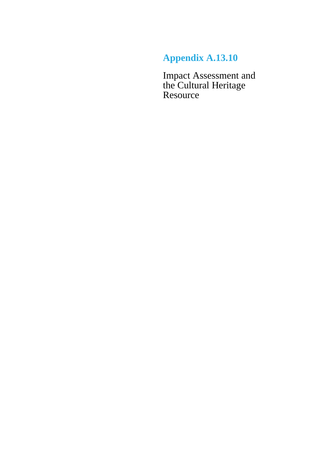## **Appendix A.13.10**

Impact Assessment and the Cultural Heritage Resource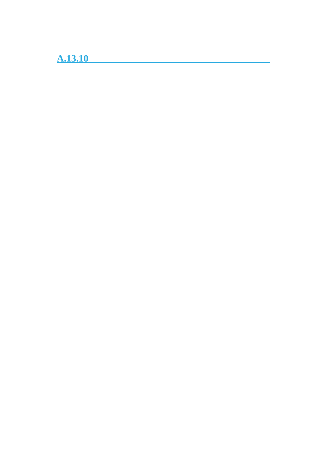**A.13.10**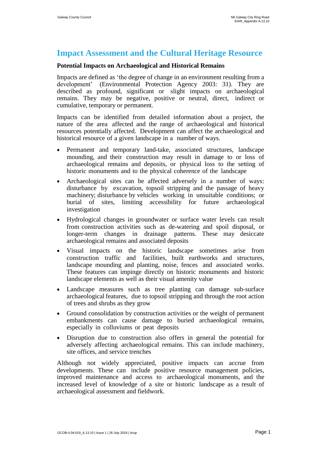## **Impact Assessment and the Cultural Heritage Resource**

## **Potential Impacts on Archaeological and Historical Remains**

Impacts are defined as 'the degree of change in an environment resulting from a development' (Environmental Protection Agency 2003: 31). They are described as profound, significant or slight impacts on archaeological remains. They may be negative, positive or neutral, direct, indirect or cumulative, temporary or permanent.

Impacts can be identified from detailed information about a project, the nature of the area affected and the range of archaeological and historical resources potentially affected. Development can affect the archaeological and historical resource of a given landscape in a number of ways.

- Permanent and temporary land-take, associated structures, landscape mounding, and their construction may result in damage to or loss of archaeological remains and deposits, or physical loss to the setting of historic monuments and to the physical coherence of the landscape
- Archaeological sites can be affected adversely in a number of ways: disturbance by excavation, topsoil stripping and the passage of heavy machinery; disturbance by vehicles working in unsuitable conditions; or burial of sites, limiting accessibility for future archaeological investigation
- Hydrological changes in groundwater or surface water levels can result from construction activities such as de-watering and spoil disposal, or longer-term changes in drainage patterns. These may desiccate archaeological remains and associated deposits
- Visual impacts on the historic landscape sometimes arise from construction traffic and facilities, built earthworks and structures, landscape mounding and planting, noise, fences and associated works. These features can impinge directly on historic monuments and historic landscape elements as well as their visual amenity value
- Landscape measures such as tree planting can damage sub-surface archaeological features, due to topsoil stripping and through the root action of trees and shrubs as they grow
- Ground consolidation by construction activities or the weight of permanent embankments can cause damage to buried archaeological remains, especially in colluviums or peat deposits
- Disruption due to construction also offers in general the potential for adversely affecting archaeological remains. This can include machinery, site offices, and service trenches

Although not widely appreciated, positive impacts can accrue from developments. These can include positive resource management policies, improved maintenance and access to archaeological monuments, and the increased level of knowledge of a site or historic landscape as a result of archaeological assessment and fieldwork.